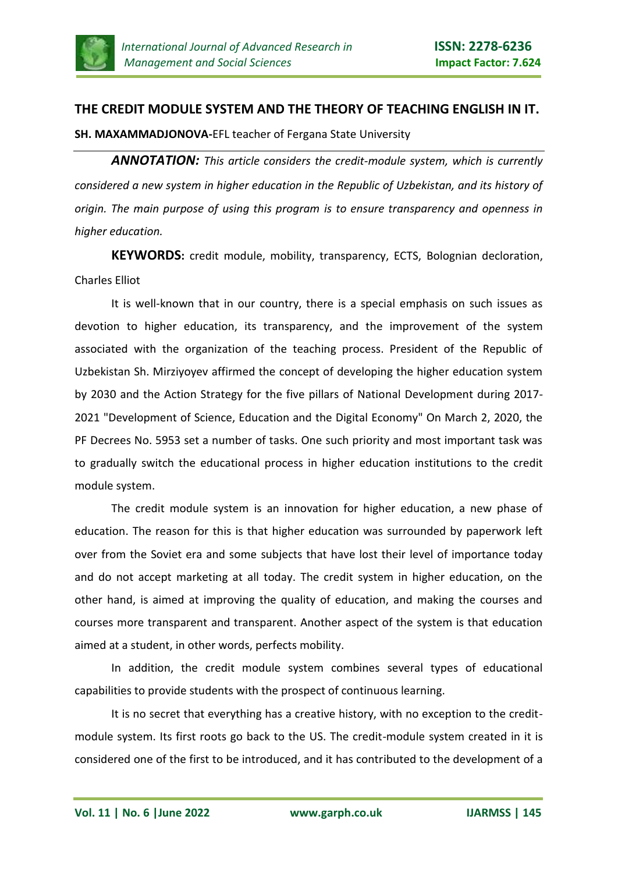

## **THE CREDIT MODULE SYSTEM AND THE THEORY OF TEACHING ENGLISH IN IT.**

**SH. MAXAMMADJONOVA-**EFL teacher of Fergana State University

*ANNOTATION: This article considers the credit-module system, which is currently considered a new system in higher education in the Republic of Uzbekistan, and its history of origin. The main purpose of using this program is to ensure transparency and openness in higher education.* 

**KEYWORDS:** credit module, mobility, transparency, ECTS, Bolognian decloration, Charles Elliot

It is well-known that in our country, there is a special emphasis on such issues as devotion to higher education, its transparency, and the improvement of the system associated with the organization of the teaching process. President of the Republic of Uzbekistan Sh. Mirziyoyev affirmed the concept of developing the higher education system by 2030 and the Action Strategy for the five pillars of National Development during 2017- 2021 "Development of Science, Education and the Digital Economy" On March 2, 2020, the PF Decrees No. 5953 set a number of tasks. One such priority and most important task was to gradually switch the educational process in higher education institutions to the credit module system.

The credit module system is an innovation for higher education, a new phase of education. The reason for this is that higher education was surrounded by paperwork left over from the Soviet era and some subjects that have lost their level of importance today and do not accept marketing at all today. The credit system in higher education, on the other hand, is aimed at improving the quality of education, and making the courses and courses more transparent and transparent. Another aspect of the system is that education aimed at a student, in other words, perfects mobility.

In addition, the credit module system combines several types of educational capabilities to provide students with the prospect of continuous learning.

It is no secret that everything has a creative history, with no exception to the creditmodule system. Its first roots go back to the US. The credit-module system created in it is considered one of the first to be introduced, and it has contributed to the development of a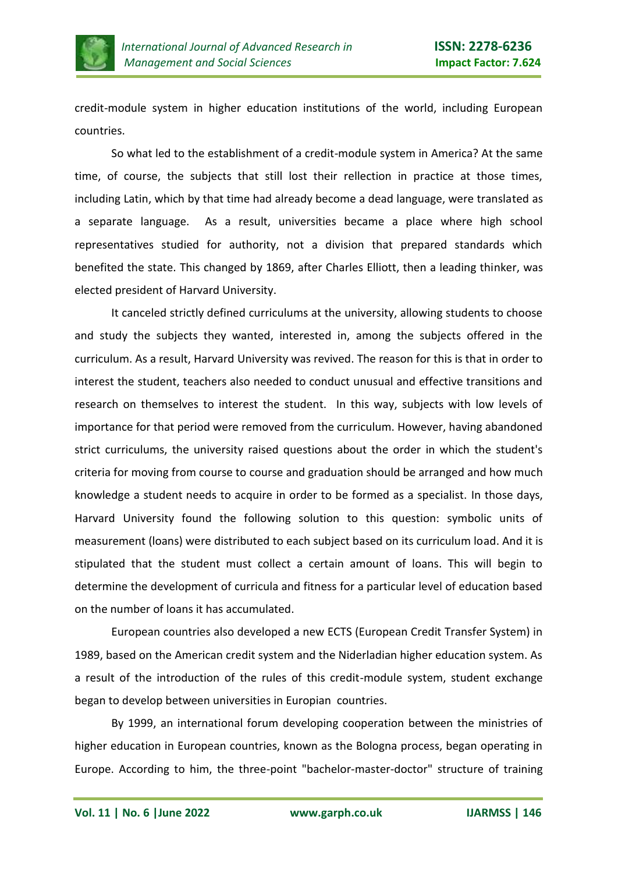

credit-module system in higher education institutions of the world, including European countries.

So what led to the establishment of a credit-module system in America? At the same time, of course, the subjects that still lost their rellection in practice at those times, including Latin, which by that time had already become a dead language, were translated as a separate language. As a result, universities became a place where high school representatives studied for authority, not a division that prepared standards which benefited the state. This changed by 1869, after Charles Elliott, then a leading thinker, was elected president of Harvard University.

It canceled strictly defined curriculums at the university, allowing students to choose and study the subjects they wanted, interested in, among the subjects offered in the curriculum. As a result, Harvard University was revived. The reason for this is that in order to interest the student, teachers also needed to conduct unusual and effective transitions and research on themselves to interest the student. In this way, subjects with low levels of importance for that period were removed from the curriculum. However, having abandoned strict curriculums, the university raised questions about the order in which the student's criteria for moving from course to course and graduation should be arranged and how much knowledge a student needs to acquire in order to be formed as a specialist. In those days, Harvard University found the following solution to this question: symbolic units of measurement (loans) were distributed to each subject based on its curriculum load. And it is stipulated that the student must collect a certain amount of loans. This will begin to determine the development of curricula and fitness for a particular level of education based on the number of loans it has accumulated.

European countries also developed a new ECTS (European Credit Transfer System) in 1989, based on the American credit system and the Niderladian higher education system. As a result of the introduction of the rules of this credit-module system, student exchange began to develop between universities in Europian countries.

By 1999, an international forum developing cooperation between the ministries of higher education in European countries, known as the Bologna process, began operating in Europe. According to him, the three-point "bachelor-master-doctor" structure of training